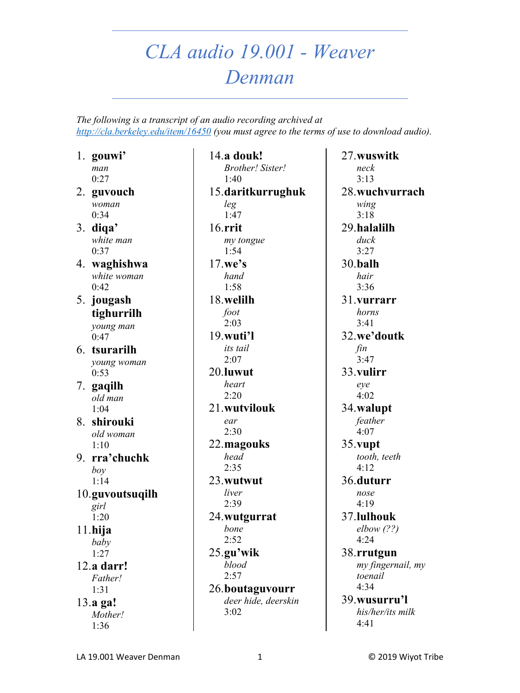## *CLA audio 19.001 - Weaver Denman*

*The following is a transcript of an audio recording archived at <http://cla.berkeley.edu/item/16450> (you must agree to the terms of use to download audio).*

1. **gouwi'** *man*  0:27

- 2. **guvouch**  *woman*   $0:34$
- 3. **diqa'** *white man*   $0:37$
- 4. **waghishwa**  *white woman*   $0:42$
- 5. **jougash tighurrilh**  *young man*  0:47
- 6. **tsurarilh**  *young woman*  0:53
- 7. **gaqilh**  *old man*  1:04
- 8. **shirouki**  *old woman*   $1:10$
- 9. **rra'chuchk**  *boy*  1:14

10.**guvoutsuqilh**  *girl*  1:20 11.**hija** 

*baby*  1:27

12.**a darr!** *Father!*  1:31 13.**a ga!**

*Mother!*  1:36

14.**a douk!** *Brother! Sister!*  1:40 15.**daritkurrughuk**  *leg*   $1:47$ 16.**rrit**  *my tongue*   $1:54$ 17.**we's**  *hand*  1:58 18.**welilh**  *foot*  2:03 19.**wuti'l**  *its tail*   $2:07$ 20.**luwut**  *heart*   $2:20$ 21.**wutvilouk**  *ear*  2:30 22.**magouks**  *head*  2:35 23.**wutwut**  *liver*  2:39 24.**wutgurrat**  *bone*  2:52 25.**gu'wik**  *blood*  2:57 26.**boutaguvourr**  *deer hide, deerskin*  3:02

27.**wuswitk**  *neck*  3:13 28.**wuchvurrach**  *wing*  3:18 29.**halalilh**  *duck*  3:27 30.**balh**  *hair*  3:36 31.**vurrarr**  *horns*  3:41 32.**we'doutk**  *fin*   $3:47$ 33.**vulirr**  *eye*  4:02 34.**walupt**  *feather*  4:07 35.**vupt**  *tooth, teeth*  4:12 36.**duturr**  *nose*  4:19 37.**lulhouk**  *elbow (??)*  4:24 38.**rrutgun**  *my fingernail, my toenail*  4:34 39.**wusurru'l** 

> *his/her/its milk*  4:41